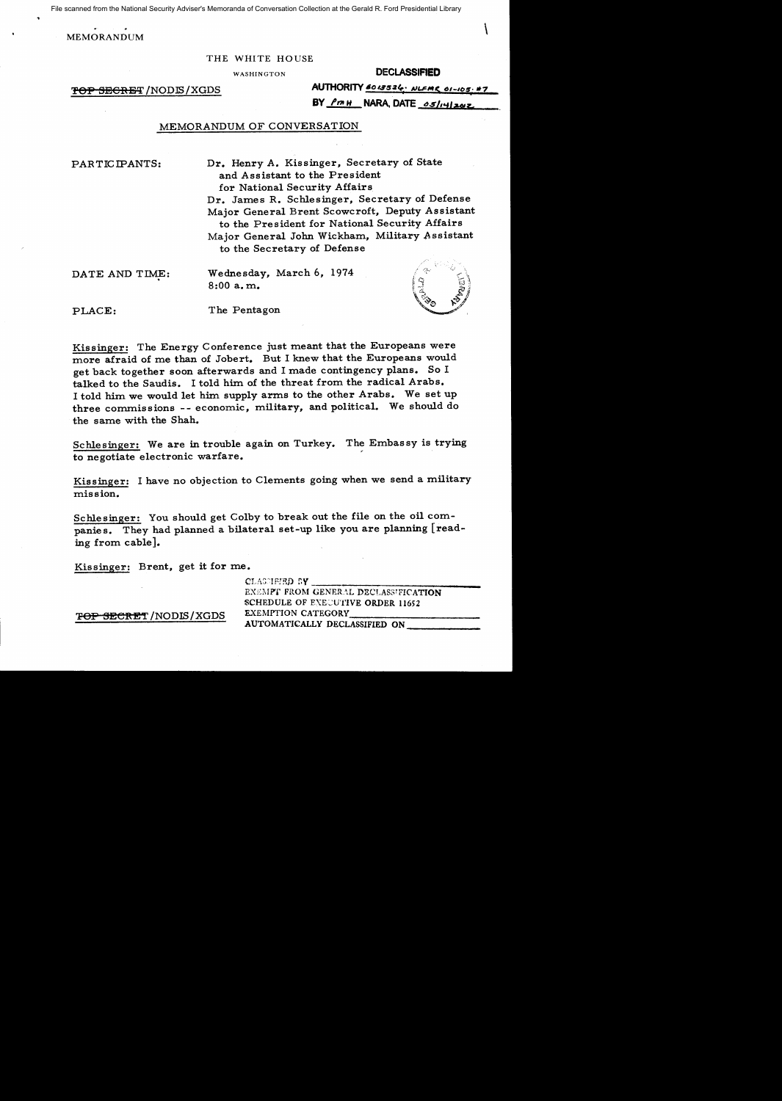File scanned from the National Security Adviser's Memoranda of Conversation Collection at the Gerald R. Ford Presidential Library

MEMORANDUM

#### THE WHITE HOUSE

WASHINGTON

#### **DECLASSIFIED**

'FOP SEGRET /NODJS /XGDS

|  | AUTHORITY 6013526. NLEME 01-105. #7 |  |
|--|-------------------------------------|--|
|  | BY <u>PMH</u> NARA, DATE os/14/2012 |  |

## MEMORANDUM OF CONVERSATION

PARTICIPANTS:

Dr. Henry A. Kissinger, Secretary of State and Assistant to the President for National Security Affairs Dr. James R. Schlesinger, Secretary of Defense Major General Brent Scowcroft, Deputy Assistant to the President for National Security Affairs Major General John Wickham, Military Assistant to the Secretary of Defense

DATE AND TIME:

Wednesday, March 6, 1974 8:00a.m.



PLACE: The Pentagon

Kissinger: The Energy Conference just meant that the Europeans were more afraid of me than of Jobert. But I knew that the Europeans would get back together soon afterwards and I made contingency plans. So I talked to the Saudis. I told him of the threat from the radical Arabs. I told him we would let him supply arms to the other Arabs. We set up three commissions -- economic, military, and political. We should do the same with the Shah.

Schlesinger: We are in trouble again on Turkey. The Embassy is trying to negotiate electronic warfare. '

Kissinger: I have no objection to Clements going when we send a military mission.

Schlesinger: You should get Colby to break out the file on the oil companies. They had planned a bilateral set-up like you are planning [reading from cable].

Kissinger: Brent, get it for me.

CLASMETED SY EXEMPT FROM GENERAL DECLASSIFICATION SCHEDULE OF EXECUTIVE ORDER 11652<br>EXEMPTION CATEGORY EXEMPTION CATEGORY<br>AUTOMATICALLY DECLASSIFIED ON

'<del>TOP SECRET</del> /NODIS / XGDS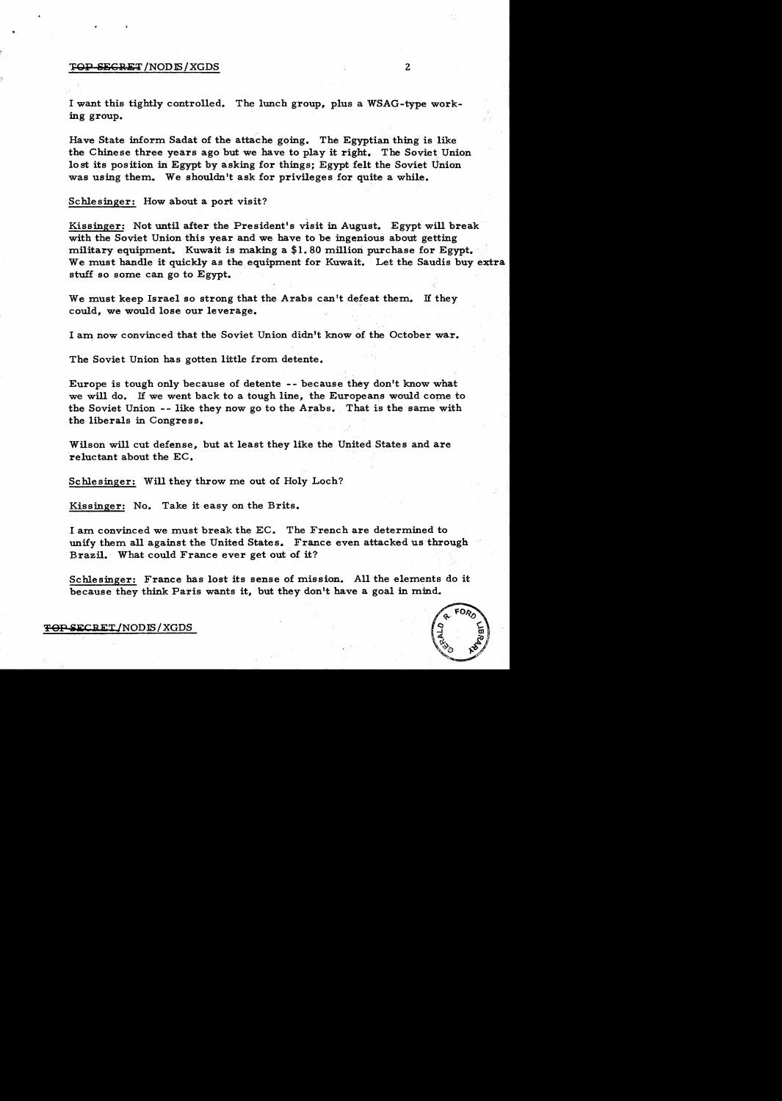#### TOP SECRET/NODIS/XGDS 2

I want this tightly controlled. The lunch group, plus a WSAG-type working group.

Have State inform Sadat of the attache going. The Egyptian thing is like the Chinese three years ago but we have to play it right. The Soviet Union lost its position in Egypt by asking for things; Egypt felt the Soviet Union was using them. We shouldn't ask for privileges for quite a while.

Schlesinger: How about a port visit?

Kissinger: Not until after the President's visit in August. Egypt will break with the Soviet Union this year and we have to be ingenious about getting military equipment. Kuwait is making a \$1. 80 million purchase for Egypt. · We must handle it quickly as the equipment for Kuwait. Let the Saudis buy extra stuff so some can go to Egypt.

We must keep Israel so strong that the Arabs can't defeat them. If they could, we would lose our leverage.

I am now convinced that the Soviet Union didn't know of the October war.

The Soviet Union has gotten little from detente.

Europe is tough only because of detente -- because they don't know what we will do. If we went back to a tough line, the Europeans would come to the Soviet Union -- like they now go to the Arabs. That is the same with the liberals in Congress.

Wilson will cut defense, but at least they like the United States and are reluctant about the EC.

Schlesinger: Will they throw me out of Holy Loch?

Kissinger: No. Take it easy on the Brits.

I am convinced we must break the EC. The French are determined to unify them all against the United States. France even attacked us through Brazil. What could France ever get out of it?

Schlesinger: France has lost its sense of mission. All the elements do it because they think Paris wants it, but they don't have a goal in mind.

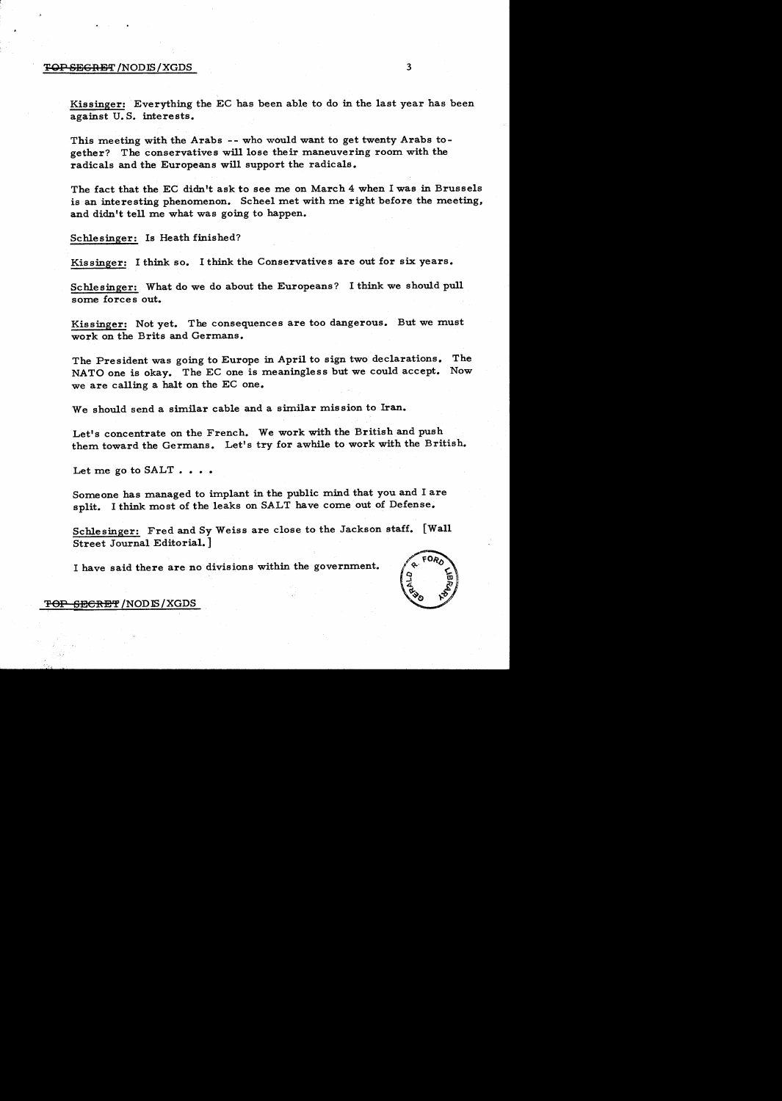#### T<del>OP SEGRET</del> /NODIS / XGDS 3

Kissinger: Everything the EC has been able to do in the last year has been against U.S. interests.

This meeting with the Arabs -- who would want to get twenty Arabs together? The conservatives will lose their maneuvering room with the radicals and the Europeans will support the radicals.

The fact that the EC didn't ask to see me on March 4 when I was in Brussels is an interesting phenomenon. Scheel met with me right before the meeting, and didn't tell me what was going to happen.

Schlesinger: Is Heath finished?

Kissinger: I think so. I think the Conservatives are out for six years.

Schlesinger: What do we do about the Europeans? I think we should pull some forces out.

Kissinger: Not yet. The consequences are too dangerous. But we must work on the Brits and Germans.

The President was going to Europe in April to sign two declarations. The NATO one is okay. The EC one is meaningless but we could accept. Now we are calling a halt on the EC one.

We should send a similar cable and a similar mission to Iran.

Let's concentrate on the French. We work with the British and push them toward the Germans. Let's try for awhile to work with the British.

Let me go to  $SALT...$ 

Someone has managed to implant in the public mind that you and I are split. I think most of the leaks on SALT have come out of Defense.

Schlesinger: Fred and Sy Weiss are close to the Jackson staff. [Wall Street Journal Editorial.]

I have said there are no divisions within the government.



T<del>OP SECRET</del>/NODIS/XGDS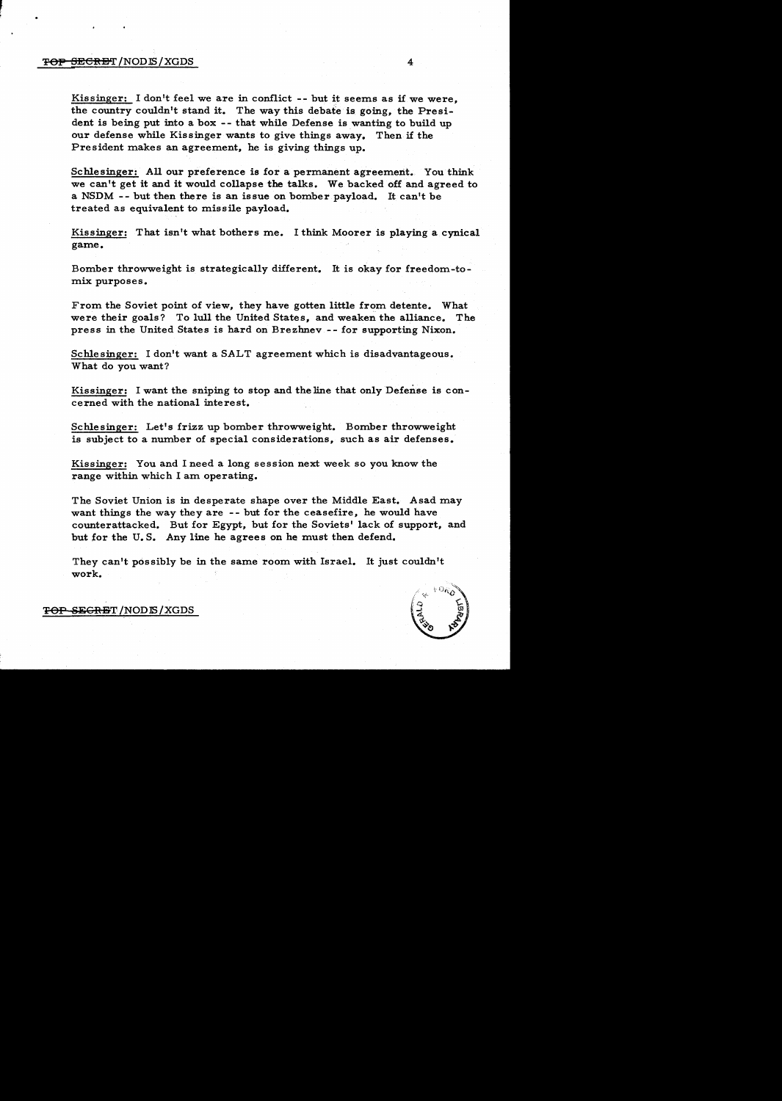## $\overline{P}$ eli Secret /NODIS/XGDS 4

Kissinger: I don't feel we are in conflict -- but it seems as if we were, the country couldn't stand it. The way this debate is going, the President is being put into a box -- that while Defense is wanting to build up<br>our defense while Kissinger wants to give things away. Then if the our defense while Kissinger wants to give things away. President makes an agreement, he is giving things up.

Schlesinger: All our preference is for a permanent agreement. You think we can1 t get it and it would collapse the talks. We backed off and agreed to a NSDM  $-$ - but then there is an issue on bomber payload. It can't be treated as equivalent to missile payload.

Kissinger: That isn't what bothers me. I think Moorer is playing a cynical game.

Bomber throwweight is strategically different. It is okay for freedom-tomix purposes.

From the Soviet point of view, they have gotten little from detente. What were their goals? To lull the United States, and weaken the alliance. The press in the United States is hard on Brezhnev -- for supporting Nixon.

Schlesinger: I don't want a SALT agreement which is disadvantageous. What do you want?

Kissinger: I want the sniping to stop and the line that only Defense is concerned with the national interest.

Schlesinger: Let's frizz up bomber throwweight. Bomber throwweight is subject to a number of special considerations, such as air defenses.

Kissinger: You and I need a long session next week so you know the range within which I am operating.

The Soviet Union is in desperate shape over the Middle East. Asad may want things the way they are -- but for the ceasefire, he would have counterattacked. But for Egypt, but for the Soviets' lack of support, and but for the U.S. Any line he agrees on he must then defend.

They can't possibly be in the same room with Israel. It just couldn't work.



TOP SEGRET/NODIS/XGDS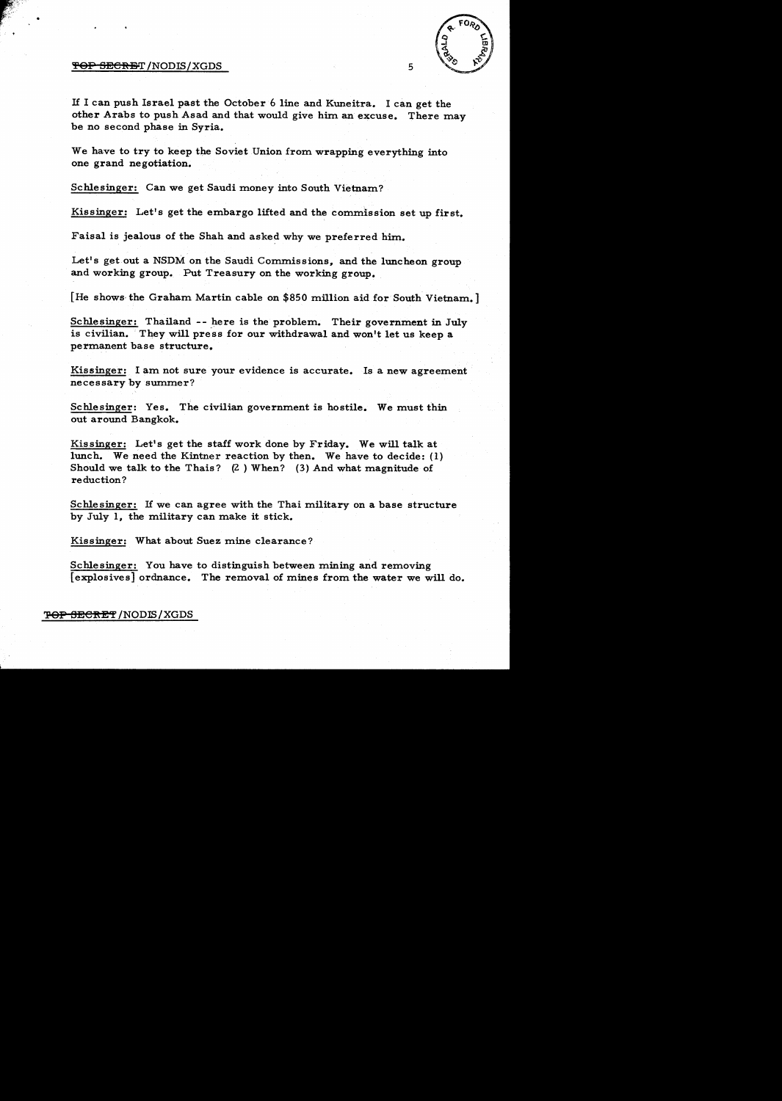#### $\overline{\text{FOP}}$  SECRET /NODIS/XGDS 5

ra<br>.

,,,, -  $\sum_{i=1}^n \frac{1}{i}$ 

If I can push Israel past the October 6 line and Kuneitra. I can get the other Arabs to push Asad and that would give him an excuse. There may be no second phase in Syria.

We have to try to keep the Soviet Union from wrapping everything into one grand negotiation.

Schlesinger: Can we get Saudi money into South Vietnam?

Kissinger: Let's get the embargo lifted and the commission set up first.

Faisal is jealous of the Shah and asked why we preferred him.

Let's get out a NSDM on the Saudi Commissions, and the luncheon group and working group. Put Treasury on the working group.

[He shows- the Graham Martin cable on \$850 million aid for South Vietnam.]

Schlesinger: Thailand -- here is the problem. Their government in July is civilian. They will press for our withdrawal and won't let us keep a permanent base structure.

Kissinger: I am not sure your evidence is accurate. Is a new agreement necessary by summer?

Schlesinger: Yes. The civilian government is hostile. We must thin out around Bangkok.

Kissinger: Let's get the staff work done by Friday. We will talk at lunch. We need the Kintner reaction by then. We have to decide: (1) Should we talk to the Thais?  $(2)$  When? (3) And what magnitude of reduction?

Schlesinger: If we can agree with the Thai military on a base structure by July 1, the military can make it stick.

Kissinger: What about Suez mine clearance?

Schlesinger: You have to distinguish between mining and removing [explosives] ordnance. The removal of mines from the water we will do.

'<del>POP SECRET</del> /NODIS / XGDS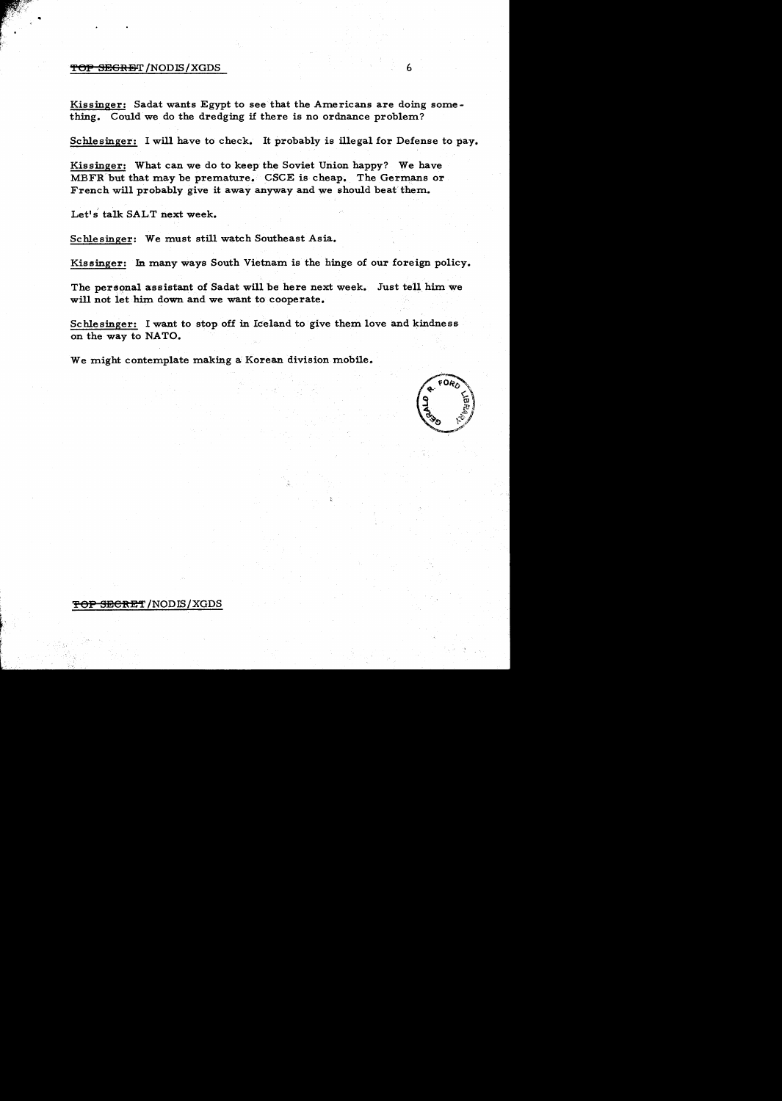#### $\overline{TOP}$  SEGRET /NODIS / XGDS 6

•

Kissinger: Sadat wants Egypt to see that the Americans are doing something. Could we do the dredging if there is no ordnance problem?

Schlesinger: I will have to check. It probably is illegal for Defense to pay.

Kissinger: What can we do to keep the Soviet Union happy? We have MBFR but that may be premature. CSCE is cheap. The Germans or French will probably give it away anyway and we should beat' them.

Let's talk SALT next week.

Schlesinger: We must still watch Southeast Asia.

Kissinger: In many ways South Vietnam is the hinge of our foreign policy.

The personal assistant of Sadat will be here next week. Just tell him we will not let him down and we want to cooperate.

Schlesinger: I want to stop off in Iceland to give them love and kindness on the way to NATO.

We might contemplate making a Korean division mobile.



## <del>TOP SECRET</del> /NODIS/XGDS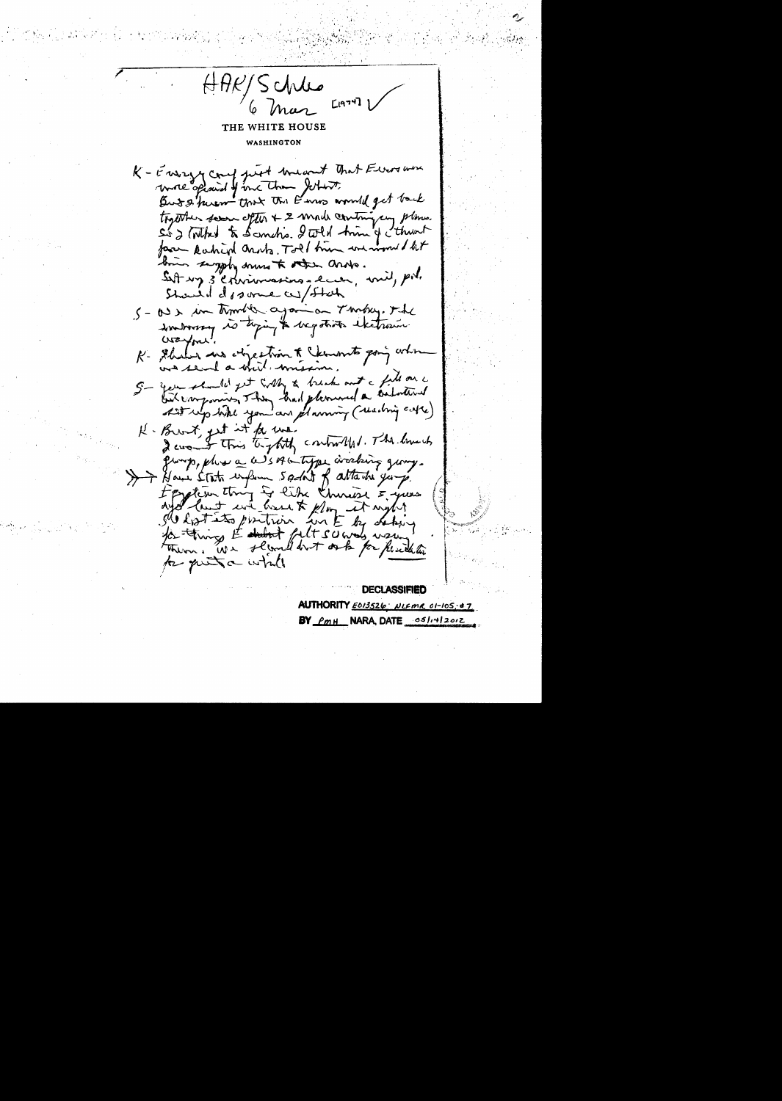HAR/Schles<br>6 Mar [1979] THE WHITE HOUSE WASHINGTON K - Energy count just breasent that Eleverno wrote opinist of me than Jethert But & huem that the Kins would get back together seem ofter + 2 mode contriging planes. Sig (What to Scentis I wild tring thement face Rachied arosts. Toll time we won't lit bin sigply some to other ands. Sutt my 3 exerious management, will, pol. Should do some as/ Stah 5 - 00 x in times again on Turkey. The somborous is toping to begatives exctreme  $\alpha$ ayne. K- Shaler we objection to cknow to going when was send a shit, missing 5- year should get with a break out a fill on a but componions, They had pleased a balative At up tike you an planning ( reaching case) K-Brook get it for we. I consent this temptity controlled. The limits group, plus a WSAG type arocking group. >> House State enform 5 adon't of attache years Foration thing is like thinks & your aya last en house & plan et aight for thing to dubt felt survey wing to put a while **DECLASSIFIED** 

AUTHORITY ED13526 NLEMR 01-105:4; BY PMH NARA, DATE 05/14/2012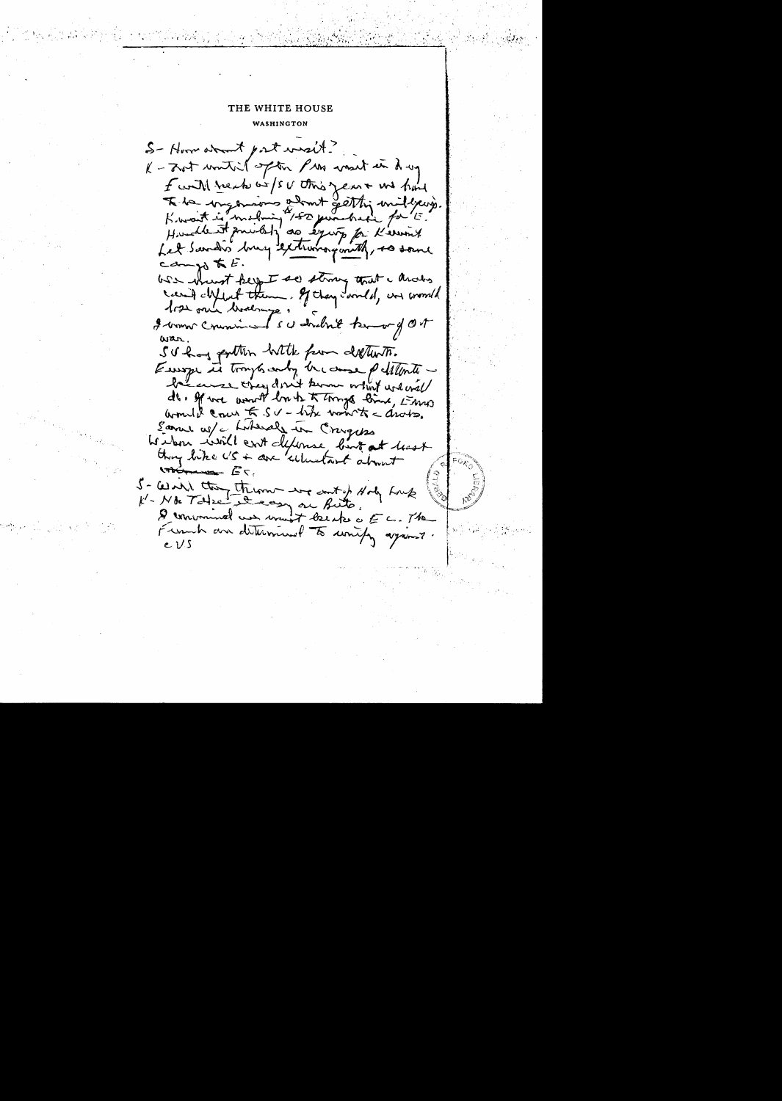S-Horn about port west? K - zot united often Pres west in dry f with reach we is or this year + we have K do important admit getting unilisers.<br>Kwait is mobily 150 pun have for E. Let Sandis buy extremogenth, so some  $com_{30}$  to  $E$ . WSS showst keep I see strong that a anders can't child them. If they correlal, and correlal 1rs on hodness I women comments of death know of ON war. SU hang portter hitte from detterts. Europe in trough andy because petitiontobecause they don't know what we will do. If we would be to things line, this would come  $K_S V$  - the valuate  $d_{\text{not}}$ Lamer w/c, Laboraly in Crayes We have will cut defense, but at least they like US + are 'ulustant about volument. ET. 5- Wash they them we cont of Holy Long Demonuel un won't becake a EC. The Franch au diterminel to unify ayant . e VS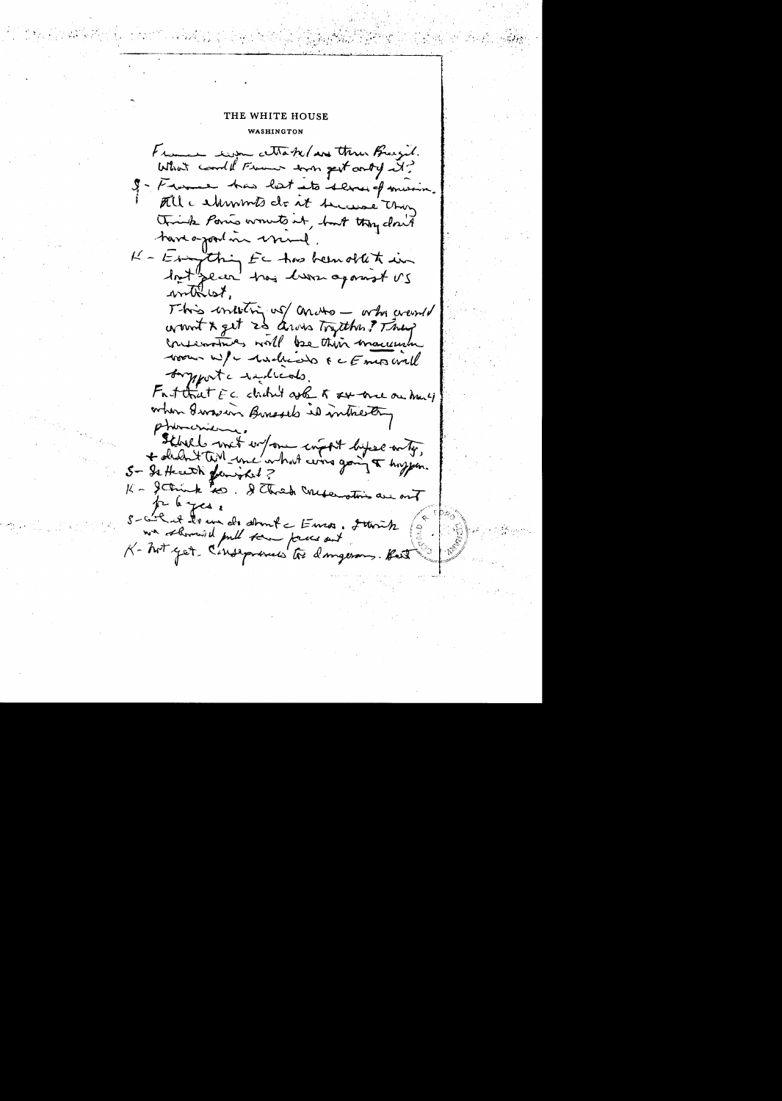## THE WHITE HOUSE WASHINGTON

France eigen Make (and thru Breezil. What could France was gest andy it? I - Freeme has lest ato dernief musin. All a shimmts do it toucase thing think Paris wounts at, but they closed tour a joint in cramel. K - Esigthing Ec has been obtet in lot plan they live against US withist. This intesting us andre - who went wount x get 25 aros Tryther ? They conservatives will be this macuum room w/ - Andrews & c Emos will Samport a reducats. Fast that EC dadn't ask to see one one many when Iwasers Buresels is inthestery phonesierne. Steballs with work component by se anty, 5 - Is Hereth family ? K - getting too. I think medicinations are out pelayes. 5-ail et des un des demets Euros, 2 territz  $\int_{-\infty}^{\infty}$ K- Not yet C'enseptements too dangerous. Hest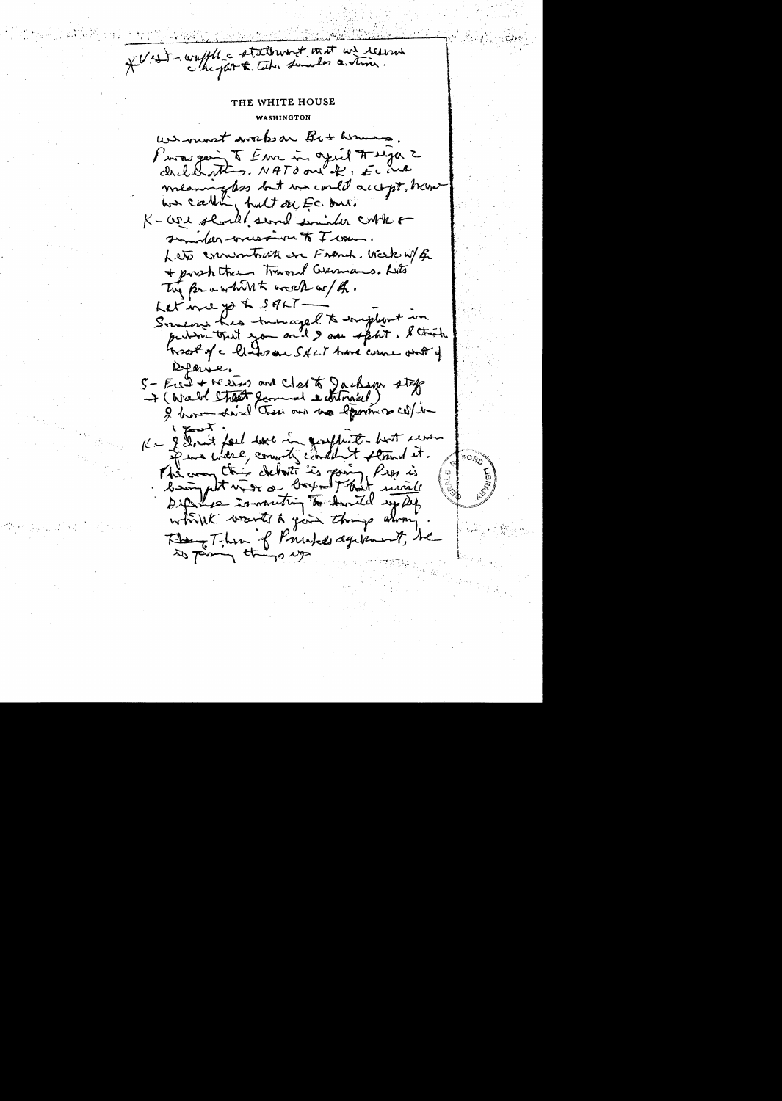\* V x = = waffle a statement that we receive

We must work an Bit Asmens Proves geing & Em in agril # sya 2 dichating. NATO out of, Econo meaningless but we could accept, have K-core should several similar control somether wrespire to I wan. Leto croceratorite on Frank, Week W/ R + post them Toward Gummans. Lits The for a white week or / th. Letine yo & SALT-Someon has turnaged to implant in Groot of a listor are SALT have come out of  $D$ farse. 5 - Feed + Weens and clerk Jackson stap + ( Wald Shoot gammed editmical) 2 hours have there are no eppoint i goost K - I don't feel we in genefrant - but went if we will connect content stand it. The way this debot is going Prop is<br>being put with a boy - That wind They Then of Printed dyramst, he to prime things up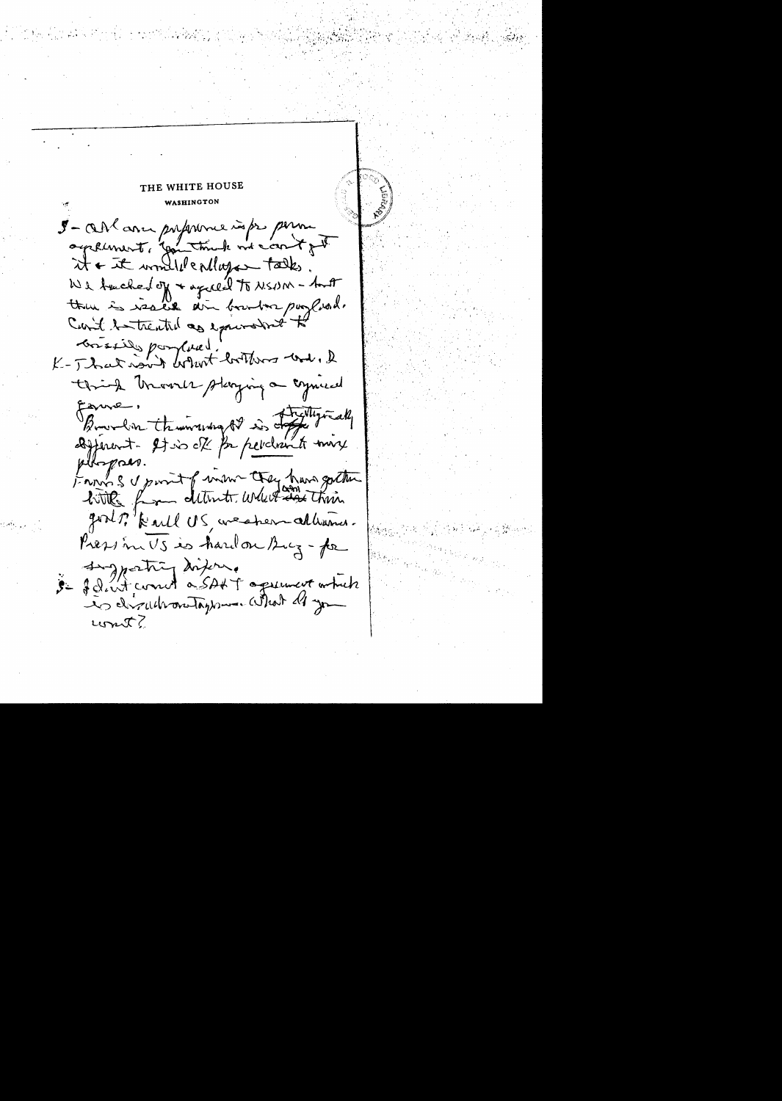THE WHITE HOUSE WASHINGTON I-OM avec proforme infor perme agricunent, gentimate me content  $x + \bar{x}$  would endure takes We tacked of + agreed to NSNM - tout then is issued ain boundar purplead. Carit to trentil as expensived to Brissie por Curel!<br>K-J hat now't britist brithwas was, I think thrown staying a connect Egure, Burnham thursday of is defeating all afferent. It is of for pelchant town bopaes. From S & point of win they have gotten with from determine where their good? Kevel US, we sherr allumner. Pression US is hard on Bug-for Inforting difers. 3- Jelent comme à SAKT agreement which cont?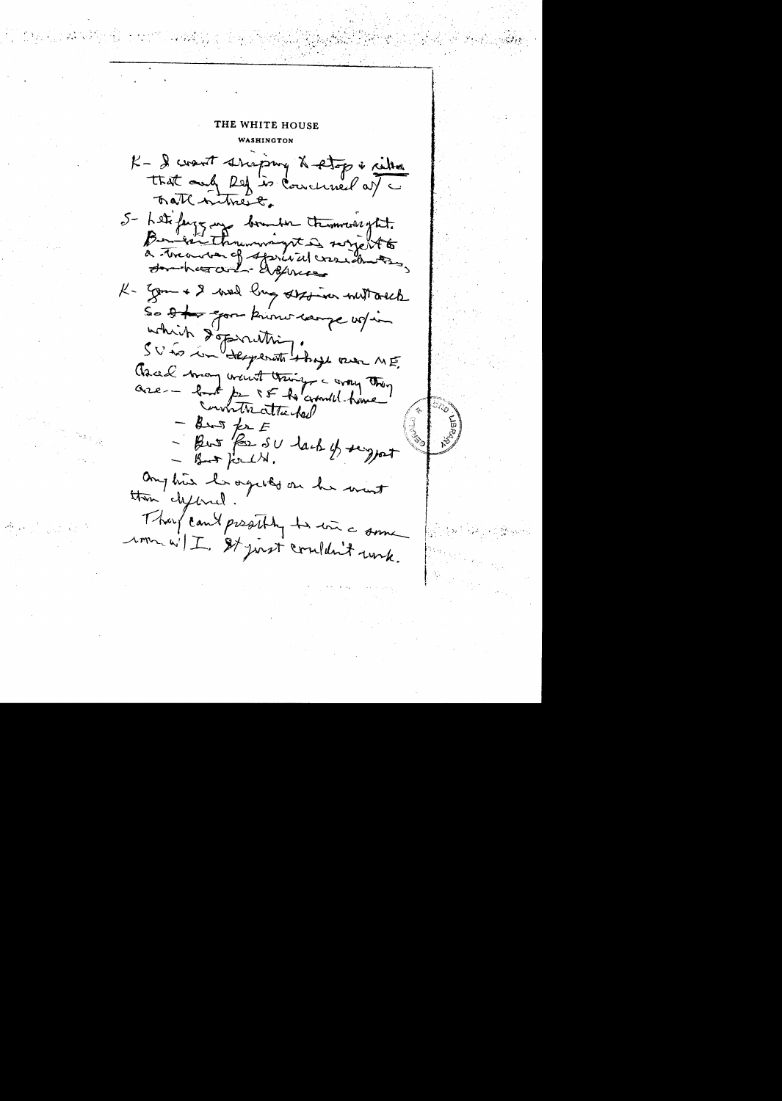# THE WHITE HOUSE WASHINGTON

K- I want shepping & stop i retter that only Ref is concluded at a Trath intrent. 5- Letifange aux bounder tremmersytit. à treatenche deprivativements K- Jam + 2 week ling station witt orach So the good know campe up in which depending. Anal many went things a croy they are - lot par le la conditation - But for E - But for SU lack of signet  $-$  But for  $\mathcal{L}$ . anytive be organized on her wint then clifbred They can't prestily to win a some rom wil I st just couldn't unk.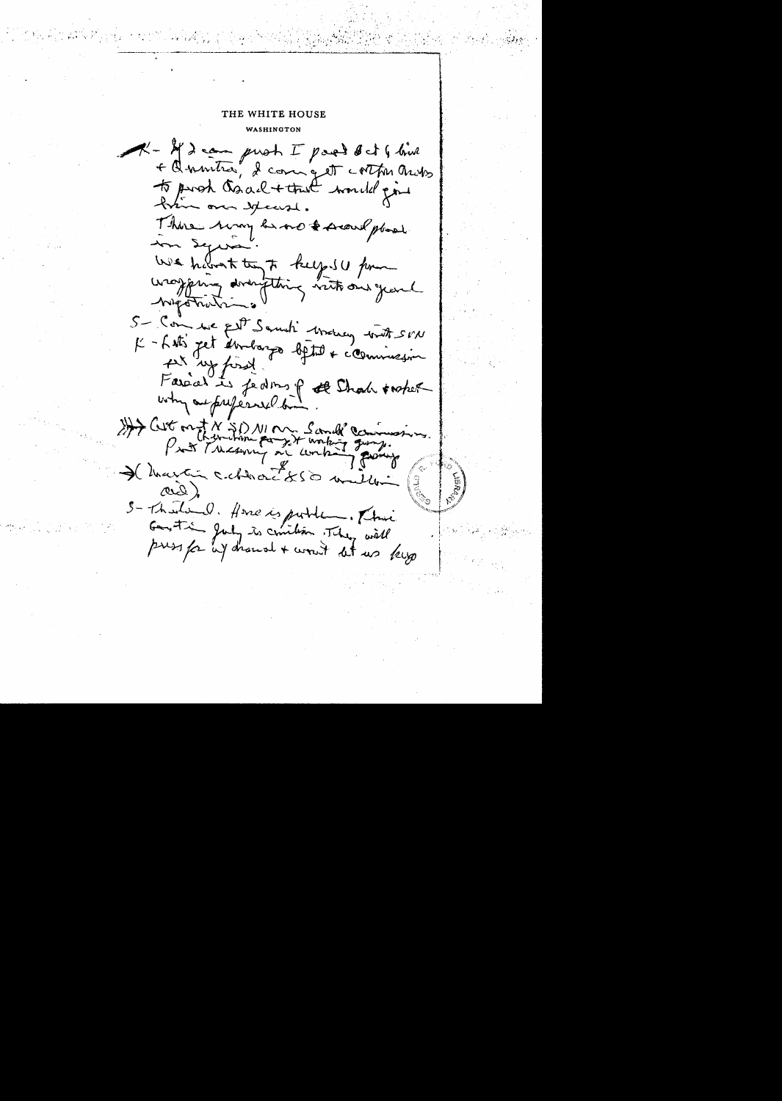K-M) can prot I part det G bird + Quentra, 2 com get cortes ands to proh Caach + that would give There way he no & secure place In Seps We haven't try to keep SU pour washing doring thing with our year - Migotration 5- Comme filt Samuti Metroy with SVN K-Litz fet étrologiq bjett + commession the wy first. Farad is features of that inter why adjusticed by Hit ont N SD NI M Sand Commission I that in celleracits à ma ard) S-Theolie d. Home is public . Their<br>Good time gody is conition . They will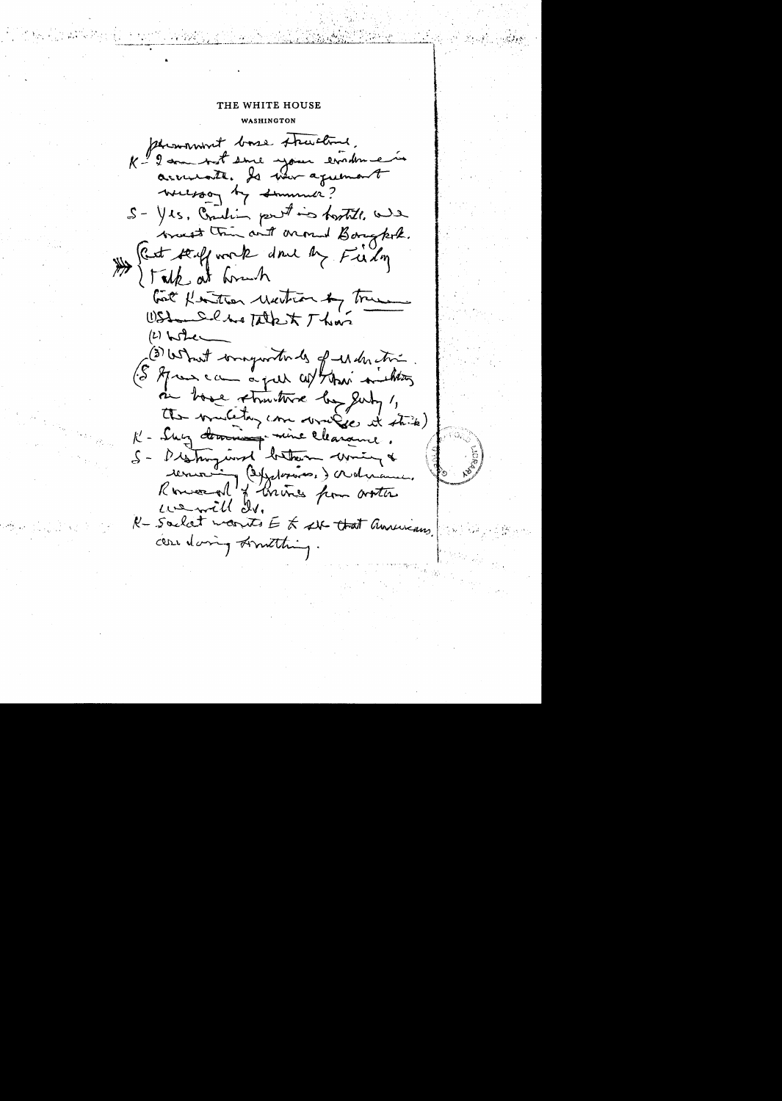phromovert boase structure. K - 2 come book since your evalouse accurate. Is when agreement wereson by summer? S- Yes, Comedian port in hostill, we wast the with around Bought. Rest stuff work done by Fieldy I Talk at home look flatten Mention by True WStandalber Takent Than  $(1)$  when (3) What wrongwith be of which (S Aprens can a put cont their minutes in home structure by July 1, the multan com wrigge it stink) K - Sur doming mine clearance. S- Distinguire betten wine &<br>renne (disposition) advance.<br>Renne al france from arther wenth de R-Saclat monts E t 24 that annuncians. cean daring Limitating